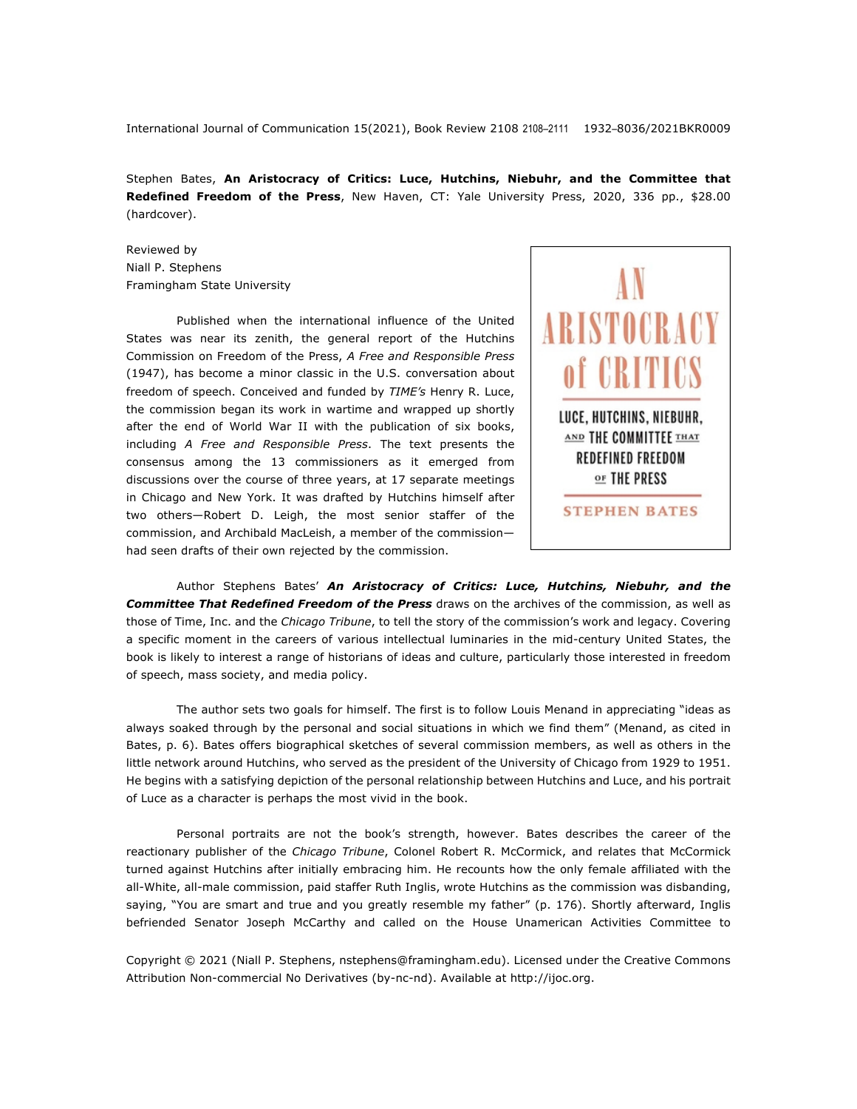International Journal of Communication 15(2021), Book Review 2108 2108–2111 1932–8036/2021BKR0009

Stephen Bates, **An Aristocracy of Critics: Luce, Hutchins, Niebuhr, and the Committee that Redefined Freedom of the Press**, New Haven, CT: Yale University Press, 2020, 336 pp., \$28.00 (hardcover).

Reviewed by Niall P. Stephens Framingham State University

Published when the international influence of the United States was near its zenith, the general report of the Hutchins Commission on Freedom of the Press, *A Free and Responsible Press* (1947), has become a minor classic in the U.S. conversation about freedom of speech. Conceived and funded by *TIME's* Henry R. Luce, the commission began its work in wartime and wrapped up shortly after the end of World War II with the publication of six books, including *A Free and Responsible Press*. The text presents the consensus among the 13 commissioners as it emerged from discussions over the course of three years, at 17 separate meetings in Chicago and New York. It was drafted by Hutchins himself after two others—Robert D. Leigh, the most senior staffer of the commission, and Archibald MacLeish, a member of the commission had seen drafts of their own rejected by the commission.



Author Stephens Bates' *An Aristocracy of Critics: Luce, Hutchins, Niebuhr, and the Committee That Redefined Freedom of the Press* draws on the archives of the commission, as well as those of Time, Inc. and the *Chicago Tribune*, to tell the story of the commission's work and legacy. Covering a specific moment in the careers of various intellectual luminaries in the mid-century United States, the book is likely to interest a range of historians of ideas and culture, particularly those interested in freedom of speech, mass society, and media policy.

The author sets two goals for himself. The first is to follow Louis Menand in appreciating "ideas as always soaked through by the personal and social situations in which we find them" (Menand, as cited in Bates, p. 6). Bates offers biographical sketches of several commission members, as well as others in the little network around Hutchins, who served as the president of the University of Chicago from 1929 to 1951. He begins with a satisfying depiction of the personal relationship between Hutchins and Luce, and his portrait of Luce as a character is perhaps the most vivid in the book.

Personal portraits are not the book's strength, however. Bates describes the career of the reactionary publisher of the *Chicago Tribune*, Colonel Robert R. McCormick, and relates that McCormick turned against Hutchins after initially embracing him. He recounts how the only female affiliated with the all-White, all-male commission, paid staffer Ruth Inglis, wrote Hutchins as the commission was disbanding, saying, "You are smart and true and you greatly resemble my father" (p. 176). Shortly afterward, Inglis befriended Senator Joseph McCarthy and called on the House Unamerican Activities Committee to

Copyright © 2021 (Niall P. Stephens, nstephens@framingham.edu). Licensed under the Creative Commons Attribution Non-commercial No Derivatives (by-nc-nd). Available at http://ijoc.org.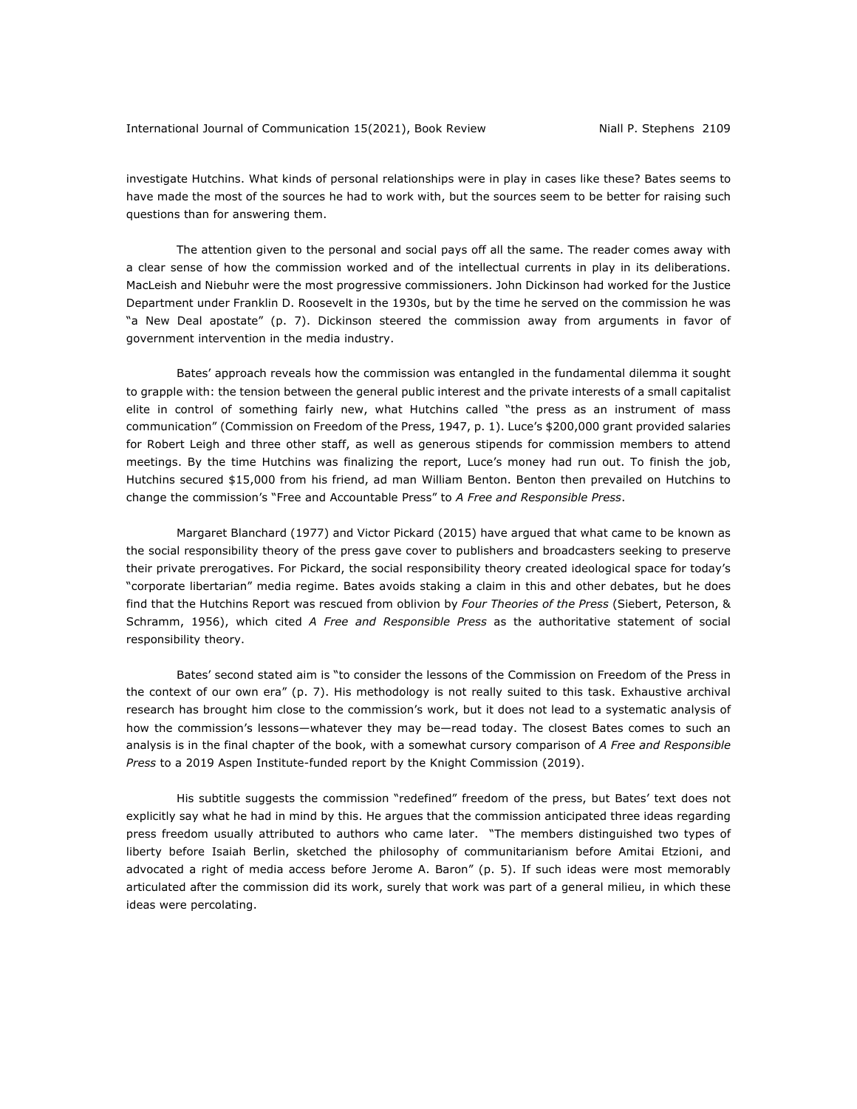investigate Hutchins. What kinds of personal relationships were in play in cases like these? Bates seems to have made the most of the sources he had to work with, but the sources seem to be better for raising such questions than for answering them.

The attention given to the personal and social pays off all the same. The reader comes away with a clear sense of how the commission worked and of the intellectual currents in play in its deliberations. MacLeish and Niebuhr were the most progressive commissioners. John Dickinson had worked for the Justice Department under Franklin D. Roosevelt in the 1930s, but by the time he served on the commission he was "a New Deal apostate" (p. 7). Dickinson steered the commission away from arguments in favor of government intervention in the media industry.

Bates' approach reveals how the commission was entangled in the fundamental dilemma it sought to grapple with: the tension between the general public interest and the private interests of a small capitalist elite in control of something fairly new, what Hutchins called "the press as an instrument of mass communication" (Commission on Freedom of the Press, 1947, p. 1). Luce's \$200,000 grant provided salaries for Robert Leigh and three other staff, as well as generous stipends for commission members to attend meetings. By the time Hutchins was finalizing the report, Luce's money had run out. To finish the job, Hutchins secured \$15,000 from his friend, ad man William Benton. Benton then prevailed on Hutchins to change the commission's "Free and Accountable Press" to *A Free and Responsible Press*.

Margaret Blanchard (1977) and Victor Pickard (2015) have argued that what came to be known as the social responsibility theory of the press gave cover to publishers and broadcasters seeking to preserve their private prerogatives. For Pickard, the social responsibility theory created ideological space for today's "corporate libertarian" media regime. Bates avoids staking a claim in this and other debates, but he does find that the Hutchins Report was rescued from oblivion by *Four Theories of the Press* (Siebert, Peterson, & Schramm, 1956), which cited *A Free and Responsible Press* as the authoritative statement of social responsibility theory.

Bates' second stated aim is "to consider the lessons of the Commission on Freedom of the Press in the context of our own era" (p. 7). His methodology is not really suited to this task. Exhaustive archival research has brought him close to the commission's work, but it does not lead to a systematic analysis of how the commission's lessons—whatever they may be—read today. The closest Bates comes to such an analysis is in the final chapter of the book, with a somewhat cursory comparison of *A Free and Responsible Press* to a 2019 Aspen Institute-funded report by the Knight Commission (2019).

His subtitle suggests the commission "redefined" freedom of the press, but Bates' text does not explicitly say what he had in mind by this. He argues that the commission anticipated three ideas regarding press freedom usually attributed to authors who came later. "The members distinguished two types of liberty before Isaiah Berlin, sketched the philosophy of communitarianism before Amitai Etzioni, and advocated a right of media access before Jerome A. Baron" (p. 5). If such ideas were most memorably articulated after the commission did its work, surely that work was part of a general milieu, in which these ideas were percolating.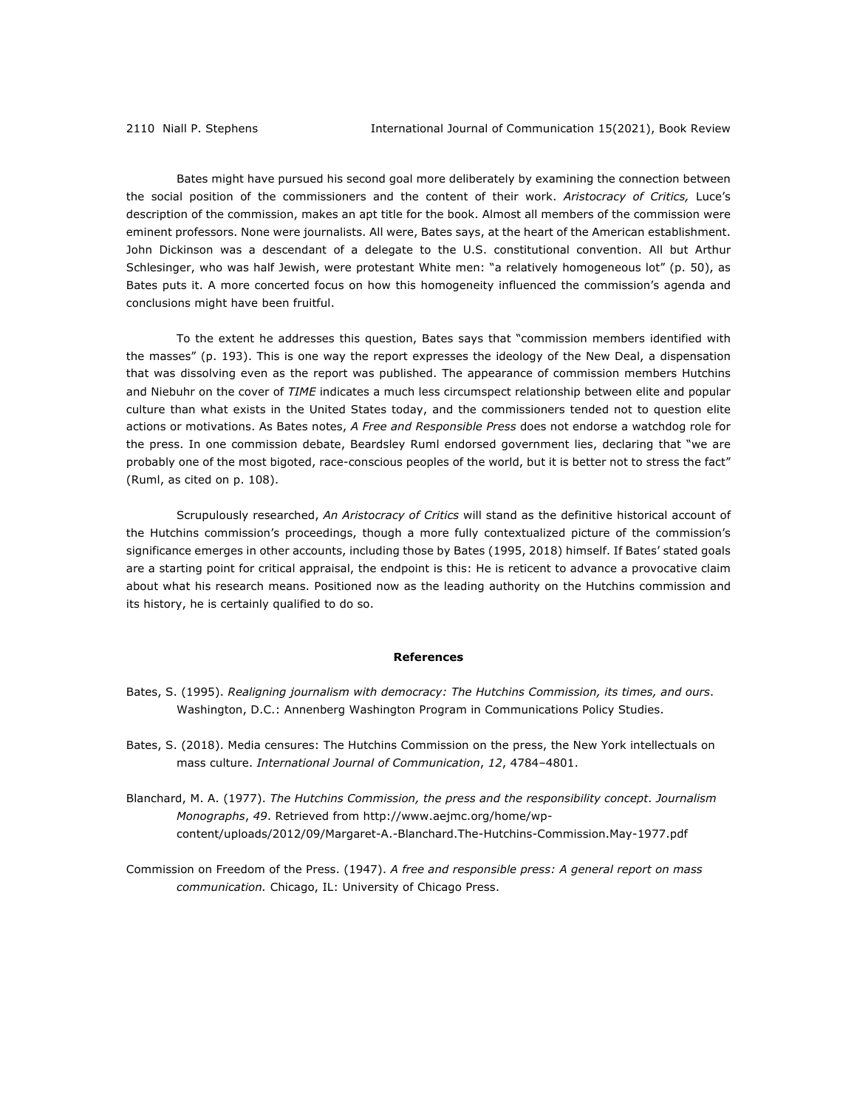Bates might have pursued his second goal more deliberately by examining the connection between the social position of the commissioners and the content of their work. *Aristocracy of Critics,* Luce's description of the commission, makes an apt title for the book. Almost all members of the commission were eminent professors. None were journalists. All were, Bates says, at the heart of the American establishment. John Dickinson was a descendant of a delegate to the U.S. constitutional convention. All but Arthur Schlesinger, who was half Jewish, were protestant White men: "a relatively homogeneous lot" (p. 50), as Bates puts it. A more concerted focus on how this homogeneity influenced the commission's agenda and conclusions might have been fruitful.

To the extent he addresses this question, Bates says that "commission members identified with the masses" (p. 193). This is one way the report expresses the ideology of the New Deal, a dispensation that was dissolving even as the report was published. The appearance of commission members Hutchins and Niebuhr on the cover of *TIME* indicates a much less circumspect relationship between elite and popular culture than what exists in the United States today, and the commissioners tended not to question elite actions or motivations. As Bates notes, *A Free and Responsible Press* does not endorse a watchdog role for the press. In one commission debate, Beardsley Ruml endorsed government lies, declaring that "we are probably one of the most bigoted, race-conscious peoples of the world, but it is better not to stress the fact" (Ruml, as cited on p. 108).

Scrupulously researched, *An Aristocracy of Critics* will stand as the definitive historical account of the Hutchins commission's proceedings, though a more fully contextualized picture of the commission's significance emerges in other accounts, including those by Bates (1995, 2018) himself. If Bates' stated goals are a starting point for critical appraisal, the endpoint is this: He is reticent to advance a provocative claim about what his research means. Positioned now as the leading authority on the Hutchins commission and its history, he is certainly qualified to do so.

## **References**

- Bates, S. (1995). *Realigning journalism with democracy: The Hutchins Commission, its times, and ours*. Washington, D.C.: Annenberg Washington Program in Communications Policy Studies.
- Bates, S. (2018). Media censures: The Hutchins Commission on the press, the New York intellectuals on mass culture. *International Journal of Communication*, *12*, 4784–4801.
- Blanchard, M. A. (1977). *The Hutchins Commission, the press and the responsibility concept*. *Journalism Monographs*, *49*. Retrieved from http://www.aejmc.org/home/wpcontent/uploads/2012/09/Margaret-A.-Blanchard.The-Hutchins-Commission.May-1977.pdf
- Commission on Freedom of the Press. (1947). *A free and responsible press: A general report on mass communication.* Chicago, IL: University of Chicago Press.